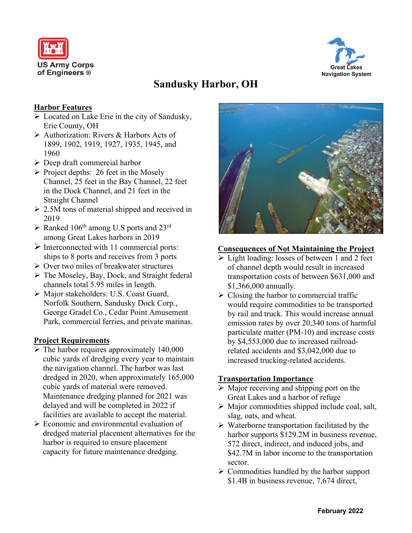



# **Sandusky Harbor, OH**

# **Harbor Features**

- ➢ Located on Lake Erie in the city of Sandusky, Erie County, OH
- ➢ Authorization: Rivers & Harbors Acts of 1899, 1902, 1919, 1927, 1935, 1945, and 1960
- $\triangleright$  Deep draft commercial harbor
- $\triangleright$  Project depths: 26 feet in the Mosely Channel, 25 feet in the Bay Channel, 22 feet in the Dock Channel, and 21 feet in the Straight Channel
- ➢ 2.5M tons of material shipped and received in 2019
- $\triangleright$  Ranked 106<sup>th</sup> among U.S ports and 23<sup>rd</sup> among Great Lakes harbors in 2019
- $\triangleright$  Interconnected with 11 commercial ports: ships to 8 ports and receives from 3 ports
- ➢ Over two miles of breakwater structures
- ➢ The Moseley, Bay, Dock, and Straight federal channels total 5.95 miles in length.
- ➢ Major stakeholders: U.S. Coast Guard, Norfolk Southern, Sandusky Dock Corp., George Gradel Co., Cedar Point Amusement Park, commercial ferries, and private marinas.

# **Project Requirements**

- $\triangleright$  The harbor requires approximately 140,000 cubic yards of dredging every year to maintain the navigation channel. The harbor was last dredged in 2020, when approximately 165,000 cubic yards of material were removed. Maintenance dredging planned for 2021 was delayed and will be completed in 2022 if facilities are available to accept the material.
- ➢ Economic and environmental evaluation of dredged material placement alternatives for the harbor is required to ensure placement capacity for future maintenance dredging.



#### **Consequences of Not Maintaining the Project**

- ➢ Light loading: losses of between 1 and 2 feet of channel depth would result in increased transportation costs of between \$631,000 and \$1,366,000 annually.
- $\triangleright$  Closing the harbor to commercial traffic would require commodities to be transported by rail and truck. This would increase annual emission rates by over 20,340 tons of harmful particulate matter (PM-10) and increase costs by \$4,553,000 due to increased railroadrelated accidents and \$3,042,000 due to increased trucking-related accidents.

# **Transportation Importance**

- ➢ Major receiving and shipping port on the Great Lakes and a harbor of refuge
- ➢ Major commodities shipped include coal, salt, slag, oats, and wheat.
- ➢ Waterborne transportation facilitated by the harbor supports \$129.2M in business revenue, 572 direct, indirect, and induced jobs, and \$42.7M in labor income to the transportation sector.
- $\triangleright$  Commodities handled by the harbor support \$1.4B in business revenue, 7,674 direct,